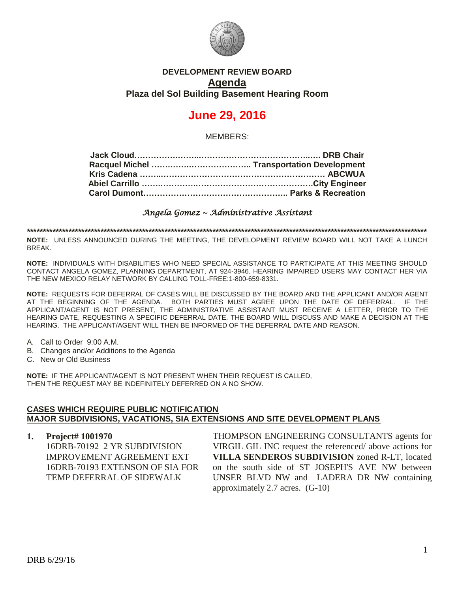

# **DEVELOPMENT REVIEW BOARD Agenda Plaza del Sol Building Basement Hearing Room**

# **June 29, 2016**

MEMBERS:

*Angela Gomez ~ Administrative Assistant* 

**\*\*\*\*\*\*\*\*\*\*\*\*\*\*\*\*\*\*\*\*\*\*\*\*\*\*\*\*\*\*\*\*\*\*\*\*\*\*\*\*\*\*\*\*\*\*\*\*\*\*\*\*\*\*\*\*\*\*\*\*\*\*\*\*\*\*\*\*\*\*\*\*\*\*\*\*\*\*\*\*\*\*\*\*\*\*\*\*\*\*\*\*\*\*\*\*\*\*\*\*\*\*\*\*\*\*\*\*\*\*\*\*\*\*\*\*\*\*\*\*\*\*\*\*\***

**NOTE:** UNLESS ANNOUNCED DURING THE MEETING, THE DEVELOPMENT REVIEW BOARD WILL NOT TAKE A LUNCH BREAK.

**NOTE:** INDIVIDUALS WITH DISABILITIES WHO NEED SPECIAL ASSISTANCE TO PARTICIPATE AT THIS MEETING SHOULD CONTACT ANGELA GOMEZ, PLANNING DEPARTMENT, AT 924-3946. HEARING IMPAIRED USERS MAY CONTACT HER VIA THE NEW MEXICO RELAY NETWORK BY CALLING TOLL-FREE:1-800-659-8331.

**NOTE:** REQUESTS FOR DEFERRAL OF CASES WILL BE DISCUSSED BY THE BOARD AND THE APPLICANT AND/OR AGENT AT THE BEGINNING OF THE AGENDA. BOTH PARTIES MUST AGREE UPON THE DATE OF DEFERRAL. IF THE APPLICANT/AGENT IS NOT PRESENT, THE ADMINISTRATIVE ASSISTANT MUST RECEIVE A LETTER, PRIOR TO THE HEARING DATE, REQUESTING A SPECIFIC DEFERRAL DATE. THE BOARD WILL DISCUSS AND MAKE A DECISION AT THE HEARING. THE APPLICANT/AGENT WILL THEN BE INFORMED OF THE DEFERRAL DATE AND REASON.

- A. Call to Order 9:00 A.M.
- B. Changes and/or Additions to the Agenda
- C. New or Old Business

**NOTE:** IF THE APPLICANT/AGENT IS NOT PRESENT WHEN THEIR REQUEST IS CALLED, THEN THE REQUEST MAY BE INDEFINITELY DEFERRED ON A NO SHOW.

#### **CASES WHICH REQUIRE PUBLIC NOTIFICATION MAJOR SUBDIVISIONS, VACATIONS, SIA EXTENSIONS AND SITE DEVELOPMENT PLANS**

**1. Project# 1001970** 16DRB-70192 2 YR SUBDIVISION IMPROVEMENT AGREEMENT EXT 16DRB-70193 EXTENSON OF SIA FOR TEMP DEFERRAL OF SIDEWALK

THOMPSON ENGINEERING CONSULTANTS agents for VIRGIL GIL INC request the referenced/ above actions for **VILLA SENDEROS SUBDIVISION** zoned R-LT, located on the south side of ST JOSEPH'S AVE NW between UNSER BLVD NW and LADERA DR NW containing approximately 2.7 acres. (G-10)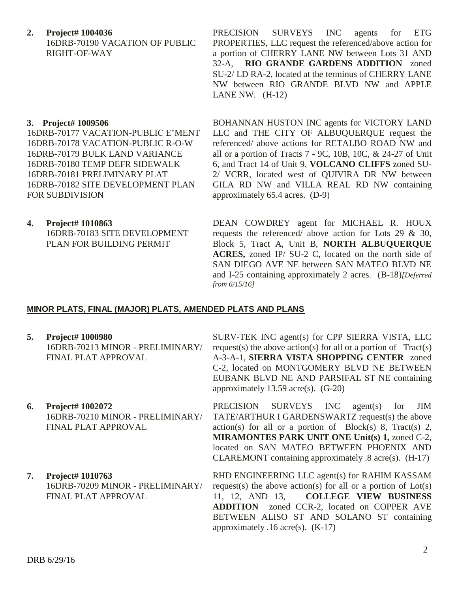**2. Project# 1004036** 16DRB-70190 VACATION OF PUBLIC RIGHT-OF-WAY

## **3. Project# 1009506**

16DRB-70177 VACATION-PUBLIC E'MENT 16DRB-70178 VACATION-PUBLIC R-O-W 16DRB-70179 BULK LAND VARIANCE 16DRB-70180 TEMP DEFR SIDEWALK 16DRB-70181 PRELIMINARY PLAT 16DRB-70182 SITE DEVELOPMENT PLAN FOR SUBDIVISION

**4. Project# 1010863**

16DRB-70183 SITE DEVELOPMENT PLAN FOR BUILDING PERMIT

PRECISION SURVEYS INC agents for ETG PROPERTIES, LLC request the referenced/above action for a portion of CHERRY LANE NW between Lots 31 AND 32-A, **RIO GRANDE GARDENS ADDITION** zoned SU-2/ LD RA-2, located at the terminus of CHERRY LANE NW between RIO GRANDE BLVD NW and APPLE LANE NW. (H-12)

BOHANNAN HUSTON INC agents for VICTORY LAND LLC and THE CITY OF ALBUQUERQUE request the referenced/ above actions for RETALBO ROAD NW and all or a portion of Tracts 7 - 9C, 10B, 10C, & 24-27 of Unit 6, and Tract 14 of Unit 9, **VOLCANO CLIFFS** zoned SU-2/ VCRR, located west of QUIVIRA DR NW between GILA RD NW and VILLA REAL RD NW containing approximately 65.4 acres. (D-9)

DEAN COWDREY agent for MICHAEL R. HOUX requests the referenced/ above action for Lots 29 & 30, Block 5, Tract A, Unit B, **NORTH ALBUQUERQUE ACRES,** zoned IP/ SU-2 C, located on the north side of SAN DIEGO AVE NE between SAN MATEO BLVD NE and I-25 containing approximately 2 acres. (B-18)*[Deferred from 6/15/16]*

#### **MINOR PLATS, FINAL (MAJOR) PLATS, AMENDED PLATS AND PLANS**

- **5. Project# 1000980** 16DRB-70213 MINOR - PRELIMINARY/ FINAL PLAT APPROVAL
- **6. Project# 1002072** 16DRB-70210 MINOR - PRELIMINARY/ FINAL PLAT APPROVAL
- **7. Project# 1010763** 16DRB-70209 MINOR - PRELIMINARY/ FINAL PLAT APPROVAL

SURV-TEK INC agent(s) for CPP SIERRA VISTA, LLC request(s) the above action(s) for all or a portion of  $Tract(s)$ A-3-A-1, **SIERRA VISTA SHOPPING CENTER** zoned C-2, located on MONTGOMERY BLVD NE BETWEEN EUBANK BLVD NE AND PARSIFAL ST NE containing approximately 13.59 acre(s). (G-20)

PRECISION SURVEYS INC agent(s) for JIM TATE/ARTHUR I GARDENSWARTZ request(s) the above  $action(s)$  for all or a portion of Block(s) 8, Tract(s) 2, **MIRAMONTES PARK UNIT ONE Unit(s) 1,** zoned C-2, located on SAN MATEO BETWEEN PHOENIX AND CLAREMONT containing approximately .8 acre(s). (H-17)

RHD ENGINEERING LLC agent(s) for RAHIM KASSAM request(s) the above action(s) for all or a portion of  $Lot(s)$ 11, 12, AND 13, **COLLEGE VIEW BUSINESS ADDITION** zoned CCR-2, located on COPPER AVE BETWEEN ALISO ST AND SOLANO ST containing approximately .16 acre(s). (K-17)